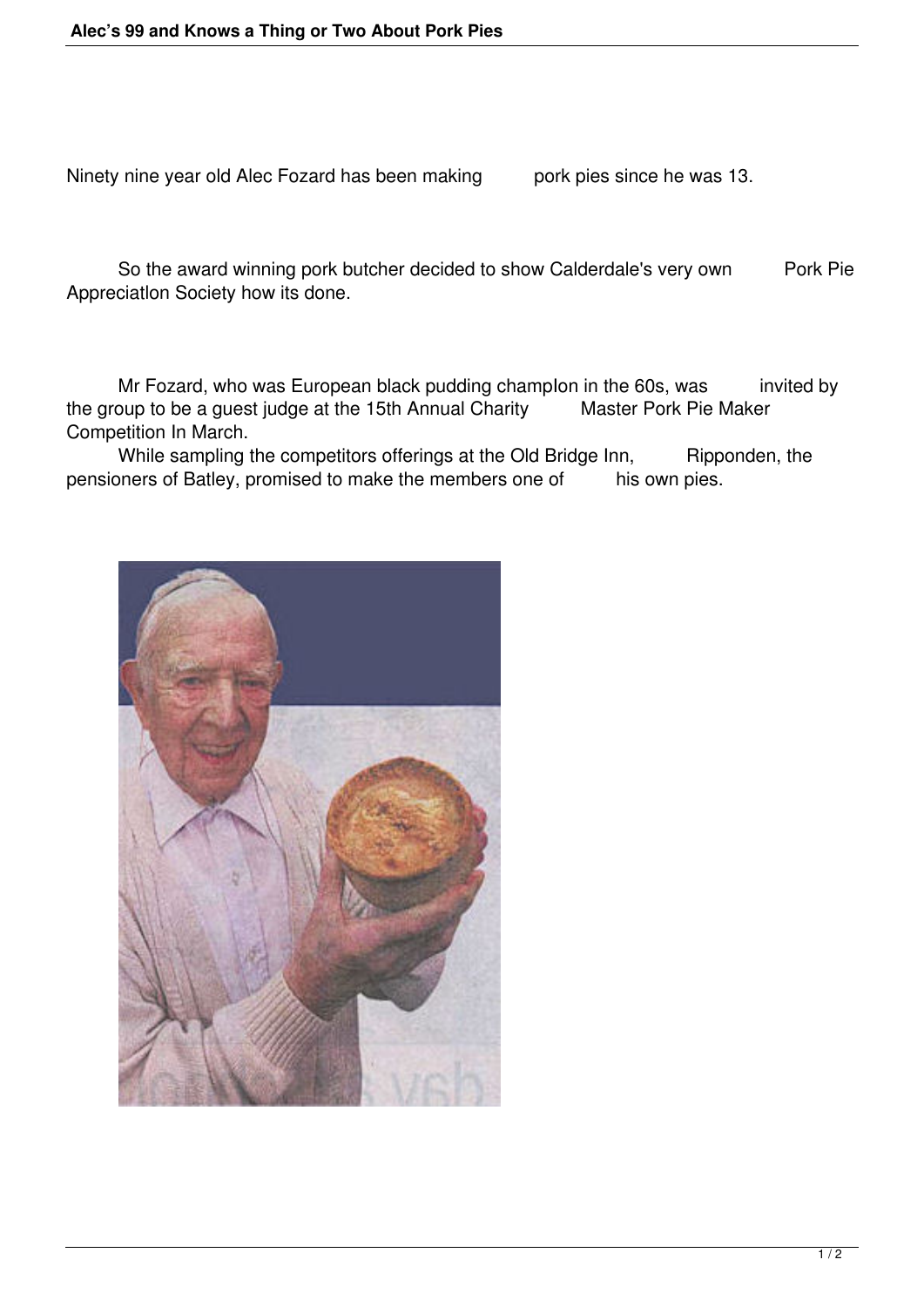Ninety nine year old Alec Fozard has been making pork pies since he was 13.

So the award winning pork butcher decided to show Calderdale's very own Pork Pie Appreciatlon Society how its done.

Mr Fozard, who was European black pudding champIon in the 60s, was invited by<br>oup to be a quest judge at the 15th Annual Charity Master Pork Pie Maker the group to be a guest judge at the 15th Annual Charity Competition In March.

While sampling the competitors offerings at the Old Bridge Inn, Ripponden, the pensioners of Batley, promised to make the members one of his own pies.